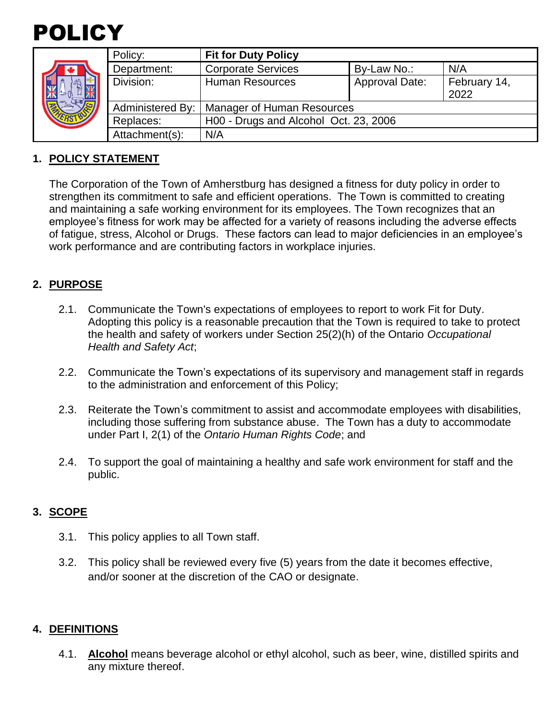

|  | Policy:          | <b>Fit for Duty Policy</b>            |                       |                      |
|--|------------------|---------------------------------------|-----------------------|----------------------|
|  | Department:      | <b>Corporate Services</b>             | By-Law No.:           | N/A                  |
|  | Division:        | <b>Human Resources</b>                | <b>Approval Date:</b> | February 14,<br>2022 |
|  | Administered By: | Manager of Human Resources            |                       |                      |
|  | Replaces:        | H00 - Drugs and Alcohol Oct. 23, 2006 |                       |                      |
|  | Attachment(s):   | N/A                                   |                       |                      |

# **1. POLICY STATEMENT**

The Corporation of the Town of Amherstburg has designed a fitness for duty policy in order to strengthen its commitment to safe and efficient operations. The Town is committed to creating and maintaining a safe working environment for its employees. The Town recognizes that an employee's fitness for work may be affected for a variety of reasons including the adverse effects of fatigue, stress, Alcohol or Drugs. These factors can lead to major deficiencies in an employee's work performance and are contributing factors in workplace injuries.

# **2. PURPOSE**

- 2.1. Communicate the Town's expectations of employees to report to work Fit for Duty. Adopting this policy is a reasonable precaution that the Town is required to take to protect the health and safety of workers under Section 25(2)(h) of the Ontario *Occupational Health and Safety Act*;
- 2.2. Communicate the Town's expectations of its supervisory and management staff in regards to the administration and enforcement of this Policy;
- 2.3. Reiterate the Town's commitment to assist and accommodate employees with disabilities, including those suffering from substance abuse. The Town has a duty to accommodate under Part I, 2(1) of the *Ontario Human Rights Code*; and
- 2.4. To support the goal of maintaining a healthy and safe work environment for staff and the public.

# **3. SCOPE**

- 3.1. This policy applies to all Town staff.
- 3.2. This policy shall be reviewed every five (5) years from the date it becomes effective, and/or sooner at the discretion of the CAO or designate.

# **4. DEFINITIONS**

4.1. **Alcohol** means beverage alcohol or ethyl alcohol, such as beer, wine, distilled spirits and any mixture thereof.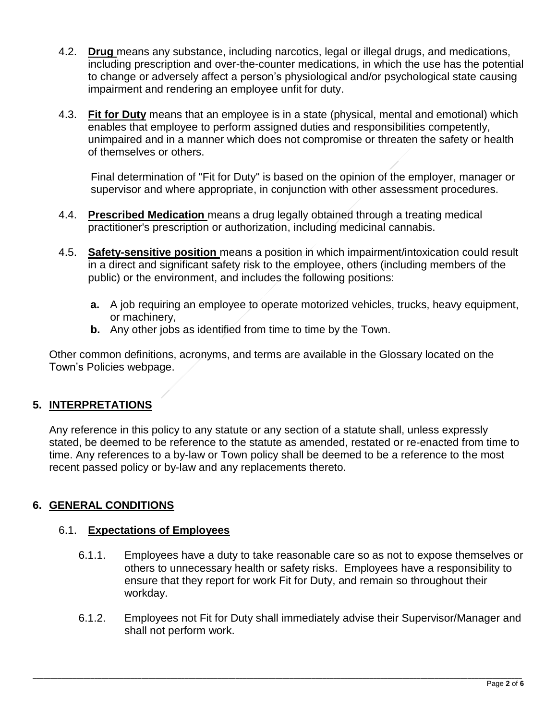- 4.2. **Drug** means any substance, including narcotics, legal or illegal drugs, and medications, including prescription and over-the-counter medications, in which the use has the potential to change or adversely affect a person's physiological and/or psychological state causing impairment and rendering an employee unfit for duty.
- 4.3. **Fit for Duty** means that an employee is in a state (physical, mental and emotional) which enables that employee to perform assigned duties and responsibilities competently, unimpaired and in a manner which does not compromise or threaten the safety or health of themselves or others.

Final determination of "Fit for Duty" is based on the opinion of the employer, manager or supervisor and where appropriate, in conjunction with other assessment procedures.

- 4.4. **Prescribed Medication** means a drug legally obtained through a treating medical practitioner's prescription or authorization, including medicinal cannabis.
- 4.5. **Safety-sensitive position** means a position in which impairment/intoxication could result in a direct and significant safety risk to the employee, others (including members of the public) or the environment, and includes the following positions:
	- **a.** A job requiring an employee to operate motorized vehicles, trucks, heavy equipment, or machinery,
	- **b.** Any other jobs as identified from time to time by the Town.

Other common definitions, acronyms, and terms are available in the Glossary located on the Town's Policies webpage.

# **5. INTERPRETATIONS**

Any reference in this policy to any statute or any section of a statute shall, unless expressly stated, be deemed to be reference to the statute as amended, restated or re-enacted from time to time. Any references to a by-law or Town policy shall be deemed to be a reference to the most recent passed policy or by-law and any replacements thereto.

# **6. GENERAL CONDITIONS**

#### 6.1. **Expectations of Employees**

- 6.1.1. Employees have a duty to take reasonable care so as not to expose themselves or others to unnecessary health or safety risks. Employees have a responsibility to ensure that they report for work Fit for Duty, and remain so throughout their workday.
- 6.1.2. Employees not Fit for Duty shall immediately advise their Supervisor/Manager and shall not perform work.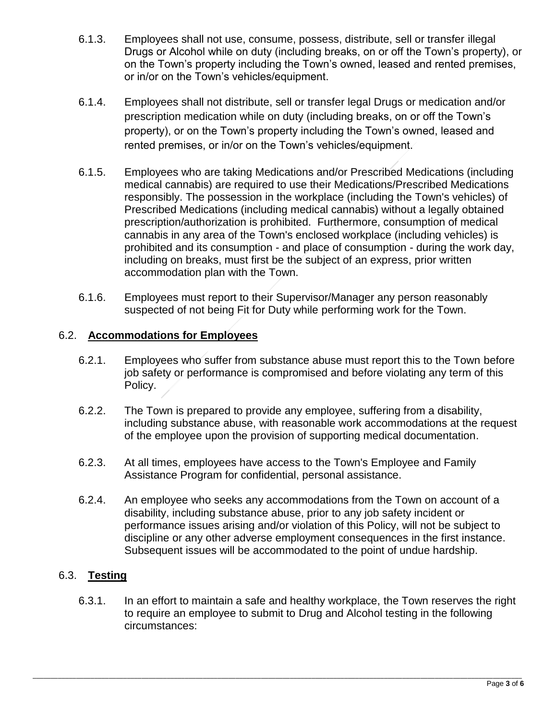- 6.1.3. Employees shall not use, consume, possess, distribute, sell or transfer illegal Drugs or Alcohol while on duty (including breaks, on or off the Town's property), or on the Town's property including the Town's owned, leased and rented premises, or in/or on the Town's vehicles/equipment.
- 6.1.4. Employees shall not distribute, sell or transfer legal Drugs or medication and/or prescription medication while on duty (including breaks, on or off the Town's property), or on the Town's property including the Town's owned, leased and rented premises, or in/or on the Town's vehicles/equipment.
- 6.1.5. Employees who are taking Medications and/or Prescribed Medications (including medical cannabis) are required to use their Medications/Prescribed Medications responsibly. The possession in the workplace (including the Town's vehicles) of Prescribed Medications (including medical cannabis) without a legally obtained prescription/authorization is prohibited. Furthermore, consumption of medical cannabis in any area of the Town's enclosed workplace (including vehicles) is prohibited and its consumption - and place of consumption - during the work day, including on breaks, must first be the subject of an express, prior written accommodation plan with the Town.
- 6.1.6. Employees must report to their Supervisor/Manager any person reasonably suspected of not being Fit for Duty while performing work for the Town.

# 6.2. **Accommodations for Employees**

- 6.2.1. Employees who suffer from substance abuse must report this to the Town before job safety or performance is compromised and before violating any term of this Policy.
- 6.2.2. The Town is prepared to provide any employee, suffering from a disability, including substance abuse, with reasonable work accommodations at the request of the employee upon the provision of supporting medical documentation.
- 6.2.3. At all times, employees have access to the Town's Employee and Family Assistance Program for confidential, personal assistance.
- 6.2.4. An employee who seeks any accommodations from the Town on account of a disability, including substance abuse, prior to any job safety incident or performance issues arising and/or violation of this Policy, will not be subject to discipline or any other adverse employment consequences in the first instance. Subsequent issues will be accommodated to the point of undue hardship.

# 6.3. **Testing**

6.3.1. In an effort to maintain a safe and healthy workplace, the Town reserves the right to require an employee to submit to Drug and Alcohol testing in the following circumstances: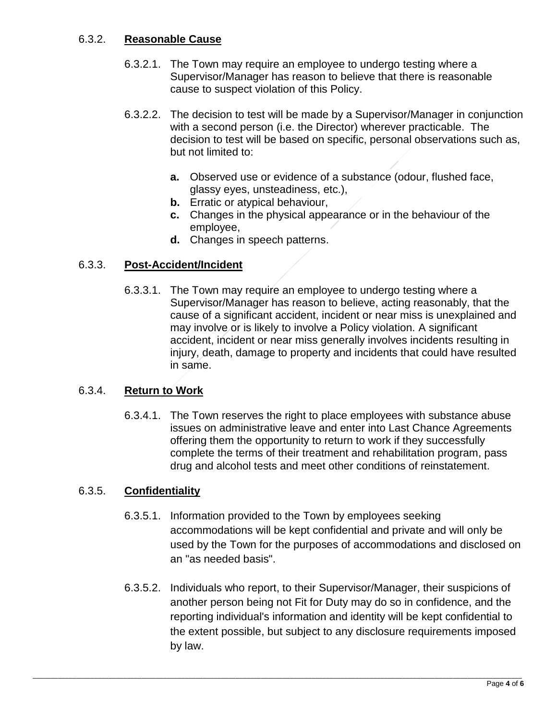# 6.3.2. **Reasonable Cause**

- 6.3.2.1. The Town may require an employee to undergo testing where a Supervisor/Manager has reason to believe that there is reasonable cause to suspect violation of this Policy.
- 6.3.2.2. The decision to test will be made by a Supervisor/Manager in conjunction with a second person (i.e. the Director) wherever practicable. The decision to test will be based on specific, personal observations such as, but not limited to:
	- **a.** Observed use or evidence of a substance (odour, flushed face, glassy eyes, unsteadiness, etc.),
	- **b.** Erratic or atypical behaviour,
	- **c.** Changes in the physical appearance or in the behaviour of the employee,
	- **d.** Changes in speech patterns.

# 6.3.3. **Post-Accident/Incident**

6.3.3.1. The Town may require an employee to undergo testing where a Supervisor/Manager has reason to believe, acting reasonably, that the cause of a significant accident, incident or near miss is unexplained and may involve or is likely to involve a Policy violation. A significant accident, incident or near miss generally involves incidents resulting in injury, death, damage to property and incidents that could have resulted in same.

# 6.3.4. **Return to Work**

6.3.4.1. The Town reserves the right to place employees with substance abuse issues on administrative leave and enter into Last Chance Agreements offering them the opportunity to return to work if they successfully complete the terms of their treatment and rehabilitation program, pass drug and alcohol tests and meet other conditions of reinstatement.

# 6.3.5. **Confidentiality**

- 6.3.5.1. Information provided to the Town by employees seeking accommodations will be kept confidential and private and will only be used by the Town for the purposes of accommodations and disclosed on an "as needed basis".
- 6.3.5.2. Individuals who report, to their Supervisor/Manager, their suspicions of another person being not Fit for Duty may do so in confidence, and the reporting individual's information and identity will be kept confidential to the extent possible, but subject to any disclosure requirements imposed by law.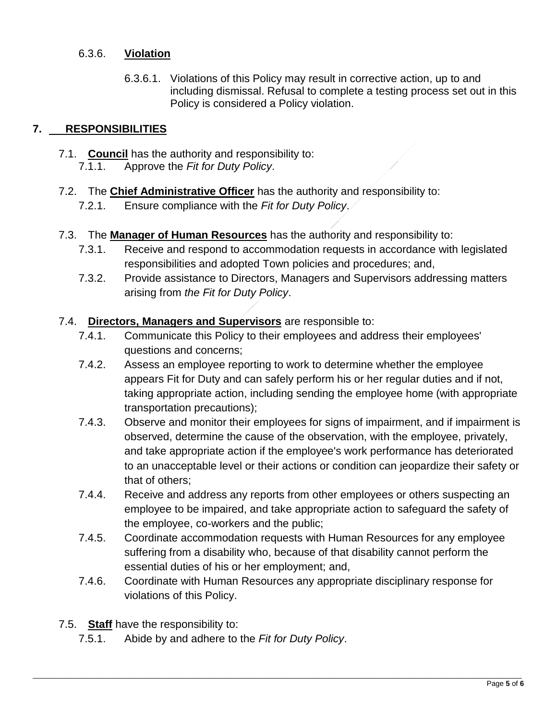### 6.3.6. **Violation**

6.3.6.1. Violations of this Policy may result in corrective action, up to and including dismissal. Refusal to complete a testing process set out in this Policy is considered a Policy violation.

# **7. RESPONSIBILITIES**

- 7.1. **Council** has the authority and responsibility to:
	- 7.1.1. Approve the *Fit for Duty Policy*.
- 7.2. The **Chief Administrative Officer** has the authority and responsibility to:
	- 7.2.1. Ensure compliance with the *Fit for Duty Policy*.
- 7.3. The **Manager of Human Resources** has the authority and responsibility to:
	- 7.3.1. Receive and respond to accommodation requests in accordance with legislated responsibilities and adopted Town policies and procedures; and,
	- 7.3.2. Provide assistance to Directors, Managers and Supervisors addressing matters arising from *the Fit for Duty Policy*.

#### 7.4. **Directors, Managers and Supervisors** are responsible to:

- 7.4.1. Communicate this Policy to their employees and address their employees' questions and concerns;
- 7.4.2. Assess an employee reporting to work to determine whether the employee appears Fit for Duty and can safely perform his or her regular duties and if not, taking appropriate action, including sending the employee home (with appropriate transportation precautions);
- 7.4.3. Observe and monitor their employees for signs of impairment, and if impairment is observed, determine the cause of the observation, with the employee, privately, and take appropriate action if the employee's work performance has deteriorated to an unacceptable level or their actions or condition can jeopardize their safety or that of others;
- 7.4.4. Receive and address any reports from other employees or others suspecting an employee to be impaired, and take appropriate action to safeguard the safety of the employee, co-workers and the public;
- 7.4.5. Coordinate accommodation requests with Human Resources for any employee suffering from a disability who, because of that disability cannot perform the essential duties of his or her employment; and,
- 7.4.6. Coordinate with Human Resources any appropriate disciplinary response for violations of this Policy.

- 7.5. **Staff** have the responsibility to:
	- 7.5.1. Abide by and adhere to the *Fit for Duty Policy*.